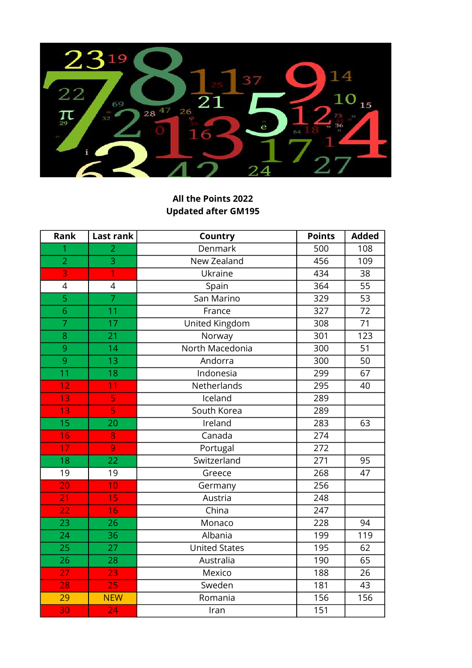

## All the Points 2022 Updated after GM195

| Rank                     | Last rank               | Country              | <b>Points</b> | <b>Added</b>    |
|--------------------------|-------------------------|----------------------|---------------|-----------------|
| 1                        | $\overline{2}$          | Denmark              | 500           | 108             |
| $\overline{2}$           | 3                       | New Zealand          | 456           | 109             |
| 3                        | $\overline{1}$          | Ukraine              | 434           | 38              |
| $\overline{\mathcal{A}}$ | $\overline{4}$          | Spain                | 364           | 55              |
| $\overline{5}$           | $\overline{7}$          | San Marino           | 329           | 53              |
| 6                        | 11                      | France               | 327           | $\overline{72}$ |
| $\overline{7}$           | 17                      | United Kingdom       | 308           | 71              |
| 8                        | $\overline{21}$         | Norway               | 301           | 123             |
| 9                        | 14                      | North Macedonia      | 300           | 51              |
| $\overline{9}$           | $\overline{13}$         | Andorra              | 300           | 50              |
| 11                       | 18                      | Indonesia            | 299           | 67              |
| 12                       | 11                      | Netherlands          | 295           | 40              |
| $\overline{13}$          | $\overline{\mathsf{S}}$ | Iceland              | 289           |                 |
| 13                       | 5                       | South Korea          | 289           |                 |
| 15                       | 20                      | Ireland              | 283           | 63              |
| 16                       | 8                       | Canada               | 274           |                 |
| 17                       | 9                       | Portugal             | 272           |                 |
| 18                       | $\overline{22}$         | Switzerland          | 271           | 95              |
| 19                       | 19                      | Greece               | 268           | 47              |
| 20                       | 10                      | Germany              | 256           |                 |
| 21                       | 15                      | Austria              | 248           |                 |
| 22                       | 16                      | China                | 247           |                 |
| $\overline{23}$          | 26                      | Monaco               | 228           | 94              |
| 24                       | 36                      | Albania              | 199           | 119             |
| $\overline{25}$          | $\overline{27}$         | <b>United States</b> | 195           | 62              |
| 26                       | 28                      | Australia            | 190           | 65              |
| 27                       | 23                      | Mexico               | 188           | 26              |
| 28                       | 25                      | Sweden               | 181           | 43              |
| 29                       | <b>NEW</b>              | Romania              | 156           | 156             |
| 30                       | $\overline{24}$         | Iran                 | 151           |                 |